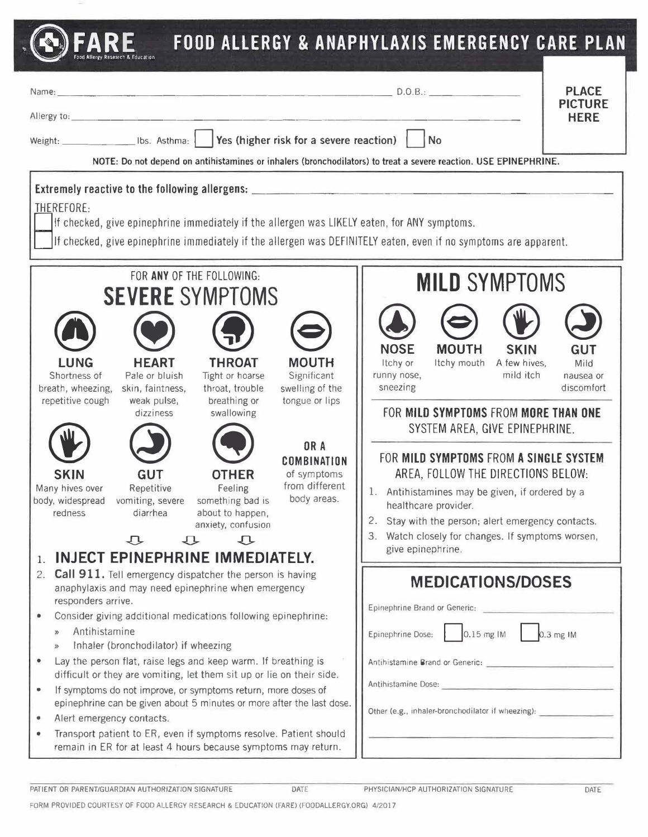## " **EARE FOOD ALLERGY & ANAPHYLAXIS EMERGENCY CARE PLAN** Name: \_\_\_\_\_\_\_\_\_\_\_\_\_\_\_\_\_\_\_\_\_\_\_\_\_ D.0.8.: \_\_\_\_\_\_ \_ PLACE PICTURE Allergy to: \_\_\_\_\_\_\_\_\_\_\_\_\_\_\_\_\_\_\_\_\_\_\_\_\_\_\_\_\_\_\_\_\_ \_ HERE Weight: **Depart Lists** lbs. Asthma: **Press (higher risk for a severe reaction)** No **NOTE: Do not depend on antihistamines or inhalers (bronchodilators) to treat a severe reaction. USE EPINEPHRINE. Extremely reactive to the following allergens:** \_\_\_\_\_\_\_\_\_\_\_\_\_\_\_\_\_\_\_\_\_\_\_\_\_\_\_\_\_\_\_\_ THEREFORE: If checked, give epinephrine immediately if the allergen was LIKELY eaten, for ANY symptoms. D1f checked, give epinephrine immediately if the allergen was DEFINITELY eaten, even if no symptoms are apparent. FOR ANY OF THE FOLLOWING: SEVERE SYMPTOMS @ **LUNG**  Shortness of breath, wheezing, repetitive cough  $\bullet$ **SKIN**  Many hives over body, widespread vomiting, severe redness  $\bigodot$   $\bigodot$ **HEART THROAT**  Pale or bluish Tight or hoarse skin, faintness, throat, trouble weak pulse, breathing or dizziness swallowing  $\bigodot$   $\bigodot$ **GTHER** Repetitive Feeling something bad is diarrhea about to happen, anxiety, confusion  $\begin{array}{ccc} \n\cdot & \cdot & \cdot & \cdot \n\end{array}$  $\bigodot$ **MOUTH**  Significant swelling of the tongue or lips **OR A COMBINATION**  of symptoms from different body areas. 1. **INJECT EPINEPHRINE IMMEDIATELY.** 2. **Call 911.** Tell emergency dispatcher the person is having anaphylaxis and may need epinephrine when emergency responders arrive. • Consider giving additional medications following epinephrine: » Antihistamine Inhaler (bronchodilator) if wheezing • Lay the person flat, raise legs and keep warm. If breathing is difficult or they are vomiting, let them sit up or lie on their side. MILD SYMPTOMS  $\bigodot$   $\bigodot$   $\bigodot$   $\bigodot$ **NOSE MOUTH SKIN GUT**<br>Itchy or Itchy mouth A few hives. Mild A few hives. runny nose, mild itch nausea or sneezing discomfort **FOR MILD SYMPTOMS FROM MORE THAN ONE SYSTEM AREA, GIVE EPINEPHRINE. FOR MILD SYMPTOMS FROM A SINGLE SYSTEM AREA, FOLLOW THE DIRECTIONS BELOW:**  1. Antihistamines may be given, if ordered by a healthcare provider. 2. Stay with the person; alert emergency contacts. 3. Watch closely for changes. If symptoms worsen, give epinephrine. **MEDICATIONS/DOSES**  Epinephrine Brand or Generic: Epinephrine Dose: 0.15 mg IM 0.3 mg IM Antihistamine Brand or Generic:

- If symptoms do not improve, or symptoms return, more doses of epinephrine can be given about 5 minutes or more after the last dose.
- Alert emergency contacts.
- Transport patient to ER, even if symptoms resolve. Patient should remain in ER for at least 4 hours because symptoms may return.

PATIENT OR PARENT/GUARDIAN AUTHORIZATION SIGNATURE DATE

Other (e.g., inhaler-bronchodilator if wheezing):

Antihistamine Dose:

FORM PROVIDED COURTESY OF FOOD ALLERGY RESEARCH & EDUCATION (FARE) (FOODALLERGY.ORG) 4/2017